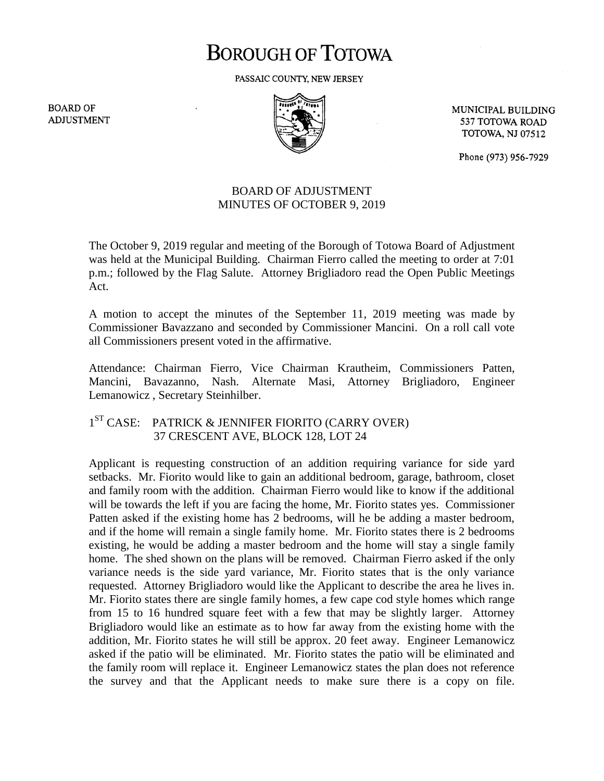## **BOROUGH OF TOTOWA**

PASSAIC COUNTY, NEW JERSEY

**BOARD OF ADJUSTMENT** 



MUNICIPAL BUILDING 537 TOTOWA ROAD **TOTOWA, NJ 07512** 

Phone (973) 956-7929

## BOARD OF ADJUSTMENT MINUTES OF OCTOBER 9, 2019

The October 9, 2019 regular and meeting of the Borough of Totowa Board of Adjustment was held at the Municipal Building. Chairman Fierro called the meeting to order at 7:01 p.m.; followed by the Flag Salute. Attorney Brigliadoro read the Open Public Meetings Act.

A motion to accept the minutes of the September 11, 2019 meeting was made by Commissioner Bavazzano and seconded by Commissioner Mancini. On a roll call vote all Commissioners present voted in the affirmative.

Attendance: Chairman Fierro, Vice Chairman Krautheim, Commissioners Patten, Mancini, Bavazanno, Nash. Alternate Masi, Attorney Brigliadoro, Engineer Lemanowicz , Secretary Steinhilber.

## 1<sup>ST</sup> CASE: PATRICK & JENNIFER FIORITO (CARRY OVER) 37 CRESCENT AVE, BLOCK 128, LOT 24

Applicant is requesting construction of an addition requiring variance for side yard setbacks. Mr. Fiorito would like to gain an additional bedroom, garage, bathroom, closet and family room with the addition. Chairman Fierro would like to know if the additional will be towards the left if you are facing the home, Mr. Fiorito states yes. Commissioner Patten asked if the existing home has 2 bedrooms, will he be adding a master bedroom, and if the home will remain a single family home. Mr. Fiorito states there is 2 bedrooms existing, he would be adding a master bedroom and the home will stay a single family home. The shed shown on the plans will be removed. Chairman Fierro asked if the only variance needs is the side yard variance, Mr. Fiorito states that is the only variance requested. Attorney Brigliadoro would like the Applicant to describe the area he lives in. Mr. Fiorito states there are single family homes, a few cape cod style homes which range from 15 to 16 hundred square feet with a few that may be slightly larger. Attorney Brigliadoro would like an estimate as to how far away from the existing home with the addition, Mr. Fiorito states he will still be approx. 20 feet away. Engineer Lemanowicz asked if the patio will be eliminated. Mr. Fiorito states the patio will be eliminated and the family room will replace it. Engineer Lemanowicz states the plan does not reference the survey and that the Applicant needs to make sure there is a copy on file.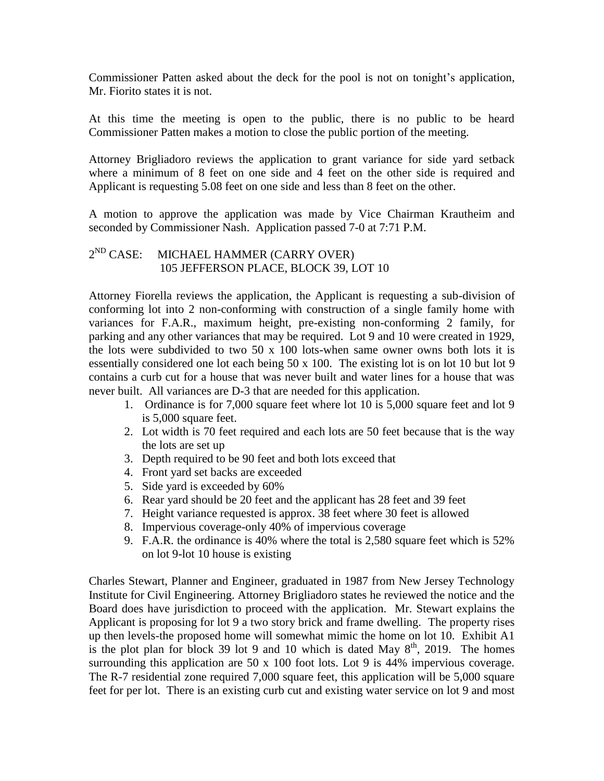Commissioner Patten asked about the deck for the pool is not on tonight's application, Mr. Fiorito states it is not.

At this time the meeting is open to the public, there is no public to be heard Commissioner Patten makes a motion to close the public portion of the meeting.

Attorney Brigliadoro reviews the application to grant variance for side yard setback where a minimum of 8 feet on one side and 4 feet on the other side is required and Applicant is requesting 5.08 feet on one side and less than 8 feet on the other.

A motion to approve the application was made by Vice Chairman Krautheim and seconded by Commissioner Nash. Application passed 7-0 at 7:71 P.M.

## 2<sup>ND</sup> CASE: MICHAEL HAMMER (CARRY OVER) 105 JEFFERSON PLACE, BLOCK 39, LOT 10

Attorney Fiorella reviews the application, the Applicant is requesting a sub-division of conforming lot into 2 non-conforming with construction of a single family home with variances for F.A.R., maximum height, pre-existing non-conforming 2 family, for parking and any other variances that may be required. Lot 9 and 10 were created in 1929, the lots were subdivided to two 50 x 100 lots-when same owner owns both lots it is essentially considered one lot each being 50 x 100. The existing lot is on lot 10 but lot 9 contains a curb cut for a house that was never built and water lines for a house that was never built. All variances are D-3 that are needed for this application.

- 1. Ordinance is for 7,000 square feet where lot 10 is 5,000 square feet and lot 9 is 5,000 square feet.
- 2. Lot width is 70 feet required and each lots are 50 feet because that is the way the lots are set up
- 3. Depth required to be 90 feet and both lots exceed that
- 4. Front yard set backs are exceeded
- 5. Side yard is exceeded by 60%
- 6. Rear yard should be 20 feet and the applicant has 28 feet and 39 feet
- 7. Height variance requested is approx. 38 feet where 30 feet is allowed
- 8. Impervious coverage-only 40% of impervious coverage
- 9. F.A.R. the ordinance is 40% where the total is 2,580 square feet which is 52% on lot 9-lot 10 house is existing

Charles Stewart, Planner and Engineer, graduated in 1987 from New Jersey Technology Institute for Civil Engineering. Attorney Brigliadoro states he reviewed the notice and the Board does have jurisdiction to proceed with the application. Mr. Stewart explains the Applicant is proposing for lot 9 a two story brick and frame dwelling. The property rises up then levels-the proposed home will somewhat mimic the home on lot 10. Exhibit A1 is the plot plan for block 39 lot 9 and 10 which is dated May  $8<sup>th</sup>$ , 2019. The homes surrounding this application are 50 x 100 foot lots. Lot 9 is 44% impervious coverage. The R-7 residential zone required 7,000 square feet, this application will be 5,000 square feet for per lot. There is an existing curb cut and existing water service on lot 9 and most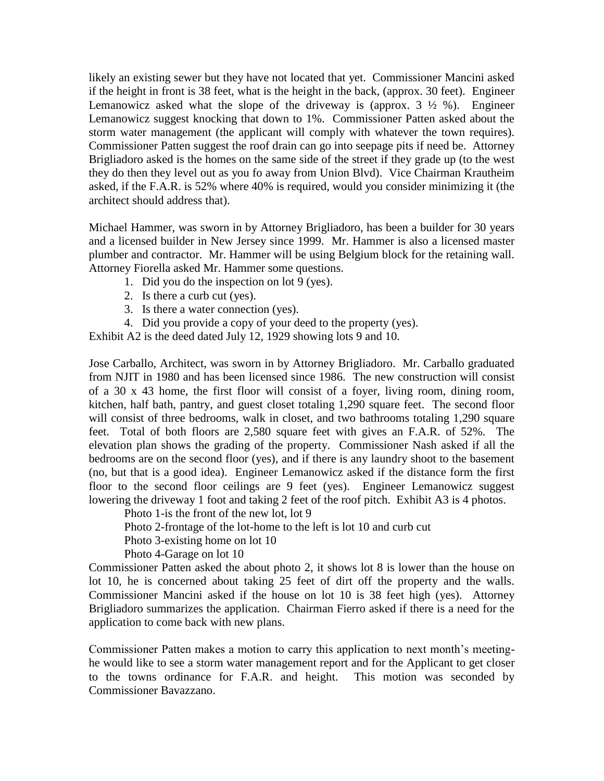likely an existing sewer but they have not located that yet. Commissioner Mancini asked if the height in front is 38 feet, what is the height in the back, (approx. 30 feet). Engineer Lemanowicz asked what the slope of the driveway is (approx.  $3\frac{1}{2}$  %). Engineer Lemanowicz suggest knocking that down to 1%. Commissioner Patten asked about the storm water management (the applicant will comply with whatever the town requires). Commissioner Patten suggest the roof drain can go into seepage pits if need be. Attorney Brigliadoro asked is the homes on the same side of the street if they grade up (to the west they do then they level out as you fo away from Union Blvd). Vice Chairman Krautheim asked, if the F.A.R. is 52% where 40% is required, would you consider minimizing it (the architect should address that).

Michael Hammer, was sworn in by Attorney Brigliadoro, has been a builder for 30 years and a licensed builder in New Jersey since 1999. Mr. Hammer is also a licensed master plumber and contractor. Mr. Hammer will be using Belgium block for the retaining wall. Attorney Fiorella asked Mr. Hammer some questions.

- 1. Did you do the inspection on lot 9 (yes).
- 2. Is there a curb cut (yes).
- 3. Is there a water connection (yes).
- 4. Did you provide a copy of your deed to the property (yes).

Exhibit A2 is the deed dated July 12, 1929 showing lots 9 and 10.

Jose Carballo, Architect, was sworn in by Attorney Brigliadoro. Mr. Carballo graduated from NJIT in 1980 and has been licensed since 1986. The new construction will consist of a 30 x 43 home, the first floor will consist of a foyer, living room, dining room, kitchen, half bath, pantry, and guest closet totaling 1,290 square feet. The second floor will consist of three bedrooms, walk in closet, and two bathrooms totaling 1,290 square feet. Total of both floors are 2,580 square feet with gives an F.A.R. of 52%. The elevation plan shows the grading of the property. Commissioner Nash asked if all the bedrooms are on the second floor (yes), and if there is any laundry shoot to the basement (no, but that is a good idea). Engineer Lemanowicz asked if the distance form the first floor to the second floor ceilings are 9 feet (yes). Engineer Lemanowicz suggest lowering the driveway 1 foot and taking 2 feet of the roof pitch. Exhibit A3 is 4 photos.

Photo 1-is the front of the new lot, lot 9

Photo 2-frontage of the lot-home to the left is lot 10 and curb cut

Photo 3-existing home on lot 10

Photo 4-Garage on lot 10

Commissioner Patten asked the about photo 2, it shows lot 8 is lower than the house on lot 10, he is concerned about taking 25 feet of dirt off the property and the walls. Commissioner Mancini asked if the house on lot 10 is 38 feet high (yes). Attorney Brigliadoro summarizes the application. Chairman Fierro asked if there is a need for the application to come back with new plans.

Commissioner Patten makes a motion to carry this application to next month's meetinghe would like to see a storm water management report and for the Applicant to get closer to the towns ordinance for F.A.R. and height. This motion was seconded by Commissioner Bavazzano.